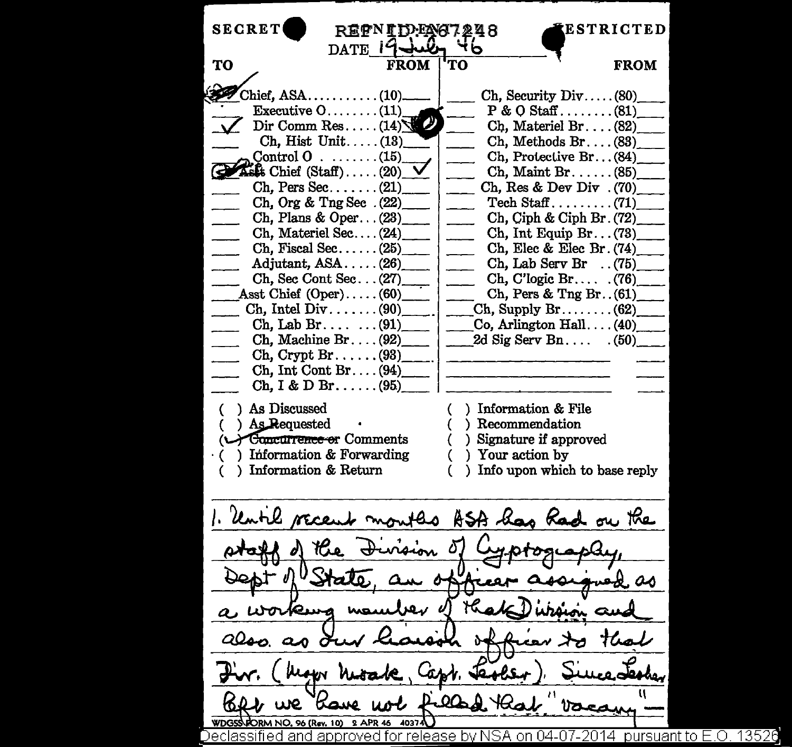**SECRET** ~ESTRICTED REFNIDENT248 DATE 14 Чb 'TO **TO FROM** FROM  $\text{Chief.ASA} \dots \dots \dots \dots (10)$  $Ch.$  Security  $Div \ldots$ . (80) Executive  $0 \ldots \ldots (11)$  $P & O$  Staff......... (81)  $Dir Comm Res...$ .  $(14)$ Ch. Materiel Br.  $\ldots$  (82) Ch, Hist Unit..... $(13)$ \_ Ch, Methods Br .... (83)\_  $Control 0$  . . . . . . . . (15) Ch, Protective Br... (84)  $Ch,$  Maint Br.  $\ldots$ . (85)  $\rightarrow$  Ask Chief (Staff) ..... (20) Ch. Pers Sec....... (21) Ch, Res & Dev Div .  $(70)$ Ch. Org  $&$  Tng Sec.  $(22)$  $Tech$  Staff......... (71) Ch, Plans & Oper... $(23)$  $Ch.$  Ciph & Ciph Br.  $(72)$ Ch. Materiel Sec.... $(24)$ Ch, Int Equip  $Br. \ldots (73)$ Ch, Fiscal Sec... $\ldots$ ... (25) Ch, Elec & Elec Br. (74)\_ Adjutant, ASA..... (26) Ch, Lab Serv Br  $\ldots$  (75)  $Ch.$  Sec Cont Sec...  $(27)$ Ch, C'logic Br. . . . . (76)\_ Asst Chief  $(Oper)$ .....  $(60)$ Ch, Pers & Tng Br.  $(61)$  $Ch,$  Intel Div  $\dots$ ..... (90)  $Ch.$  Supply  $Br.$ ....... (62) Ch. Lab Br.  $\ldots$  . . . . (91) Co, Arlington Hall ....  $(40)$ <br>2d Sig Serv Bn....  $(50)$ Ch, Machine Br.... $(92)$  $2d$  Sig Serv Bn.  $\ldots$ Ch, Crypt Br...... $(93)$ Ch, Int Cont Br....  $(94)$  $Ch, I & D Br. \ldots (95)$ ( ) As Discussed ( ) Information & File As Requested ( ) Recommendation ( ) Signature if approved Concurrence or Comments Information & Forwarding ( ) Your action by Information & Return Info upon which to base reply 1. Until recent months ASA has had on the s.as  $QQ_{\alpha}$ WDGSS-PORM NO. 96 (Rev. 10) 2 APR 46 40374 )eclassified and approved for release by NSA on 04-07-2014  $\,$  pursuant to E.O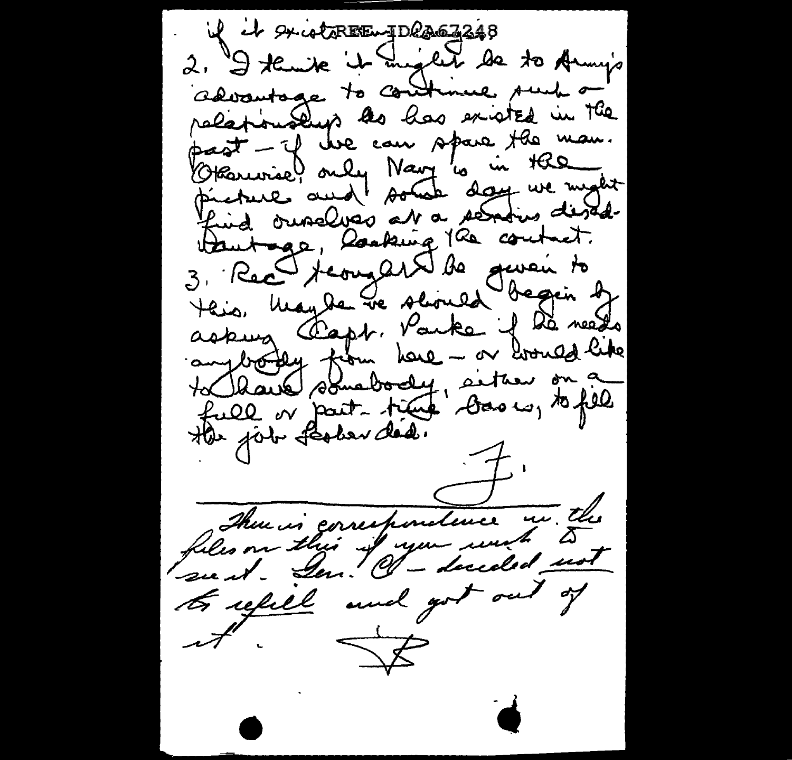if it suistremy Descripts 2. I tembe it ingent de to Army's advantage to continue such a relationship as has existed in the past - if we can spare the man. Grammie) only Navy 10 in the picture aud soute day we might find ourselves at a sensins desd. 3. Rec teorgest de quoi to teis. May de le seines begin de askung Fapt. Parke if de needs<br>augborden from here - or broued like full or part time dans un to fill There is correspondence in the files on this if you wish to to refill and got out of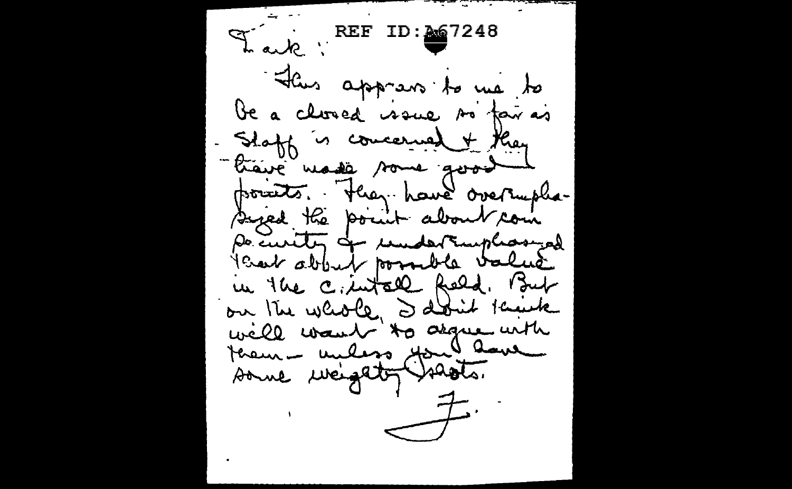Leve REF ID: 267248 "Ilius apprens to me to be a closed issue so fair as Shaff is concerned + they "traine made some good points. They have overaple-Sized the point about com po curity of undertamphosized Year about possible value in the c. intall Reld. But on the whole I don't knick well want to agree with terem milion Mondaue  $\begin{picture}(120,10) \put(0,0){\line(1,0){10}} \put(15,0){\line(1,0){10}} \put(15,0){\line(1,0){10}} \put(15,0){\line(1,0){10}} \put(15,0){\line(1,0){10}} \put(15,0){\line(1,0){10}} \put(15,0){\line(1,0){10}} \put(15,0){\line(1,0){10}} \put(15,0){\line(1,0){10}} \put(15,0){\line(1,0){10}} \put(15,0){\line(1,0){10}} \put(15,0){\line($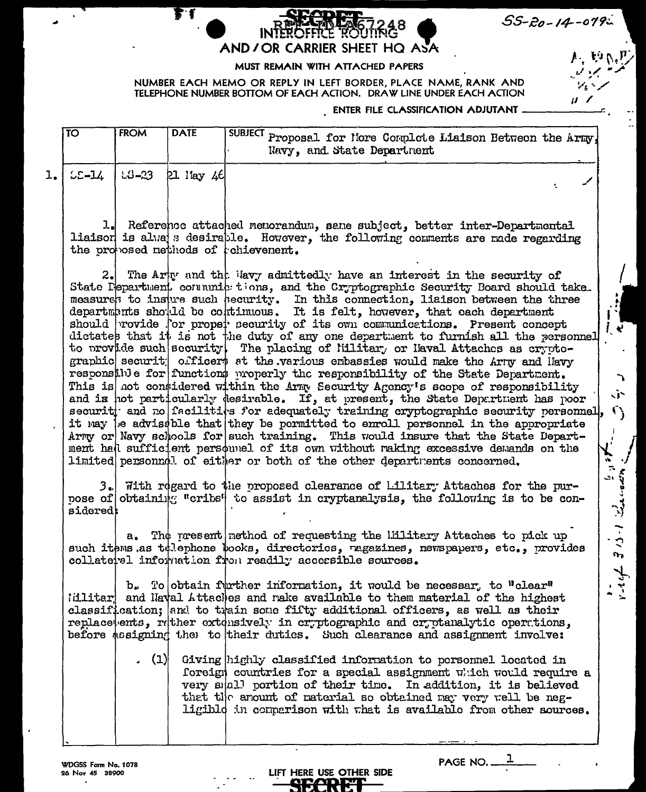|  | 55-20-14-079- |  |  |  |  |
|--|---------------|--|--|--|--|
|  |               |  |  |  |  |

√j∼

 $\mathbf{C}_{\lambda}$ 

 $\frac{1}{\mu}$ 



## MUST REMAIN WITH ATTACHED PAPERS

NUMBER EACH MEMO OR REPLY IN LEFT BORDER, PLACE NAME, RANK AND TELEPHONE NUMBER BOTTOM OF EACH ACTION. DRAW LINE UNDER EACH ACTION

## **ENTER FILE CLASSIFICATION ADJUTANT ...**

|  | FROM | <b>DATE</b>                                    | $\sqrt{\text{SUBJECT}}$ Proposal for liore Complete Liaison Between the Army,<br>Navy, and State Department |  |
|--|------|------------------------------------------------|-------------------------------------------------------------------------------------------------------------|--|
|  |      | 1. $\lfloor$ 55-14 $\rfloor$ 53-23 [21 Hay 46] |                                                                                                             |  |

ᆚ Reference attached menorandum, same subject, better inter-Departmental liaison is alva s desirable. However, the following comments are made regarding the proposed nethods of tchievenent.

The Arty and the Havy admittedly have an interest in the security of 2. State Pepartment communic tions, and the Cryptographic Security Board should take. measures to insure such security. In this connection, liaison between the three departments should be continuous. It is felt, however, that each department should rovide for proper security of its own communications. Present concept dictates that it is not the duty of any one department to furnish all the personnel to provide such security. The placing of lillitar, or laval Attaches as cryptographic securit officers at the various embassies would make the Army and Havy responsible for functions properly the responsibility of the State Department. This is not considered within the Army Security Agency's scope of responsibility and is not particularly desirable. If, at present, the State Department has poor security and no facilities for adequately training cryptographic security personnel, it may be advisable that they be permitted to enroll personnel in the appropriate Army or Navy schools for such training. This would insure that the State Department hall sufficient persounel of its own without raking excessive demands on the regists 1-0.8 first limited personnd! of either or both of the other departments concerned.

 $3.$  Tith regard to the proposed clearance of Lilitary Attaches for the purnose of obtaining "cribs" to assist in cryptanalysis, the following is to be considered:

a. The present method of requesting the lillitary Attaches to pick up such items as tolephone books, directories, ragazines, newspapers, etc., provides collateral information from readily accessible sources.

b. To obtain further information, it would be necessar, to "clear" idlitar and Naval Attaches and rake available to them material of the highest classification; and to train some fifty additional officers, as well as their replace ents, ruther extensively in cryptographic and cryptanalytic opertions. before assigning the to their duties. Such clearance and assignment involve:

LIFT HERE USE OTHER SIDE

. (1) Giving highly classified information to personnel located in foreign countries for a special assignment  $\pi$ : ich would require a very small portion of their time. In addition, it is believed that the anount of material so obtained may very well be negligibld in comparison with that is available from other sources.

WDGSS Form No. 1078 26 Nov 45 38900

PAGE NO. \_